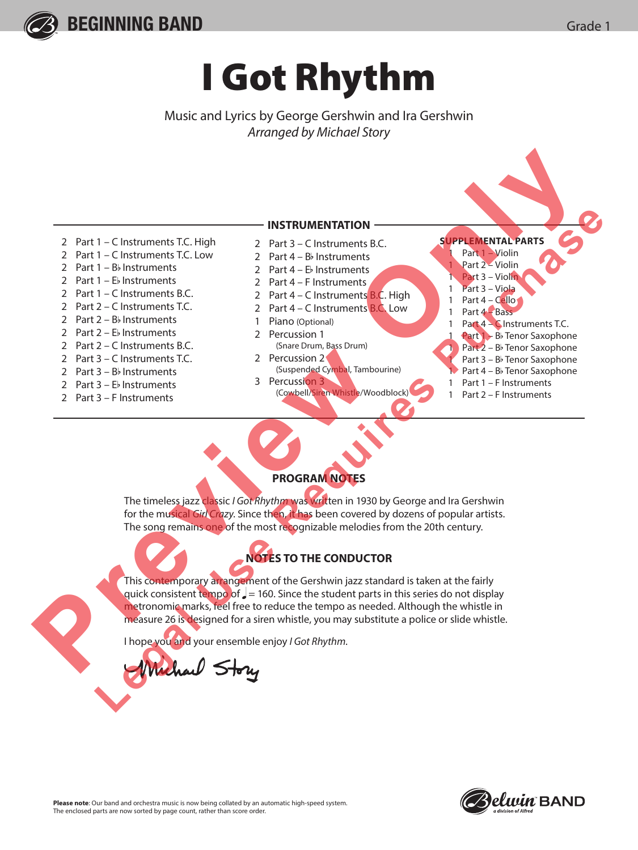

# I Got Rhythm

Music and Lyrics by George Gershwin and Ira Gershwin *Arranged by Michael Story*

- 2 Part 1 C Instruments T.C. High
- 2 Part 1 C Instruments T.C. Low
- 2 Part  $1 B$  Instruments
- 2 Part 1 Eb Instruments
- 2 Part 1 C Instruments B.C.
- 2 Part 2 C Instruments T.C.
- 2 Part  $2 B$  Instruments
- 2 Part  $2 Eb$  Instruments
- 2 Part 2 C Instruments B.C.
- 2 Part 3 C Instruments T.C.
- 2 Part 3 Bb Instruments
- 2 Part 3 Eb Instruments
- 2 Part 3 F Instruments

#### **INSTRUMENTATION**

- 2 Part 3 C Instruments B.C.
- 2 Part  $4 B$  Instruments
- 2 Part 4 Eb Instruments
- 2 Part 4 F Instruments
- 2 Part  $4 C$  Instruments B.C. High
- 2 Part  $4 C$  Instruments  $B.C.$  Low
- 1 Piano (Optional)
- 2 Percussion 1
- (Snare Drum, Bass Drum) 2 Percussion 2
- (Suspended Cymbal, Tambourine)
- 3 Percussion 3
- (Cowbell/Siren Whistle/Woodblock)
- **SUPPLEMENTAL PARTS** Part 1 – Violin
	- Part 2 Violin
	- Part 3 Violin
	- 1 Part 3 Viola
	- 1 Part  $4 -$  Cello
	- 1 Part 4 Bass 1 Part 4 – C Instruments T.C.
		- Part 1 B<sub>b</sub> Tenor Saxophone
		- Part 2 Bb Tenor Saxophone
		- Part 3 B<sub>b</sub> Tenor Saxophone
		- Part 4 B<sub>b</sub> Tenor Saxophone
	- 1 Part 1 F Instruments
		- Part 2 F Instruments

## **PROGRAM NOTES**

The timeless jazz classic *I Got Rhythm* was written in 1930 by George and Ira Gershwin for the musical *Girl Crazy*. Since then, it has been covered by dozens of popular artists. The song remains one of the most recognizable melodies from the 20th century.

### **NOTES TO THE CONDUCTOR**

This contemporary arrangement of the Gershwin jazz standard is taken at the fairly quick consistent tempo of  $\epsilon$  = 160. Since the student parts in this series do not display metronomic marks, feel free to reduce the tempo as needed. Although the whistle in measure 26 is designed for a siren whistle, you may substitute a police or slide whistle. **Part - Cinstruments TC. High De Control of the Control of the Control of the Control of the Control of the Control of the Control of the Control of the Control of the Control of the Control of the Control of the Control o Legal Use Regard School School School School School School School School School School School School School School School School School School School School School School School School School School School School School S** 

I hope you and your ensemble enjoy *I Got Rhythm*.

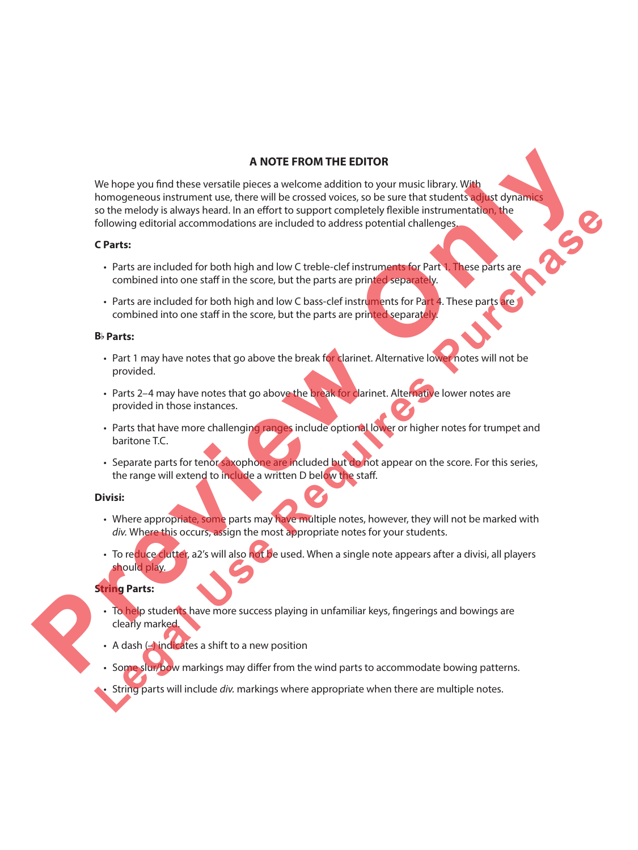#### **A NOTE FROM THE EDITOR**

We hope you find these versatile pieces a welcome addition to your music library. With homogeneous instrument use, there will be crossed voices, so be sure that students adjust dynamics so the melody is always heard. In an effort to support completely flexible instrumentation, the following editorial accommodations are included to address potential challenges. **PROWRAGE SEARCH AND THE EDITOR**<br>
The progression is the two states and the section of your mustellibrary. We<br>
the mediative stress are the studients to the mediative of the stress and the present<br>
columning deterrise cont

#### **C Parts:**

- Parts are included for both high and low C treble-clef instruments for Part 1. These parts are combined into one staff in the score, but the parts are printed separately.
- Parts are included for both high and low C bass-clef instruments for Part 4. These parts are combined into one staff in the score, but the parts are printed separately.

#### **B**b **Parts:**

- Part 1 may have notes that go above the break for clarinet. Alternative lower notes will not be provided.
- Parts 2-4 may have notes that go above the break for clarinet. Alternative lower notes are provided in those instances.
- Parts that have more challenging ranges include optional lower or higher notes for trumpet and baritone T.C.
- Separate parts for tenor saxophone are included but do not appear on the score. For this series, the range will extend to include a written D below the staff.

#### **Divisi:**

- Where appropriate, some parts may have multiple notes, however, they will not be marked with *div.* Where this occurs, assign the most appropriate notes for your students.
- To reduce clutter, a2's will also not be used. When a single note appears after a divisi, all players should play. so the melody is always heard. In an effort to support completely ilestich instrumentation<br>
Legal Use and the state included for both high and low C treble-clef instruments for Parts.<br> **CParts:**<br>
Combined into one staff in

#### **String Parts:**

- To help students have more success playing in unfamiliar keys, fingerings and bowings are clearly marked.
- A dash  $($  indicates a shift to a new position
- Some slur/bow markings may differ from the wind parts to accommodate bowing patterns.

• String parts will include *div.* markings where appropriate when there are multiple notes.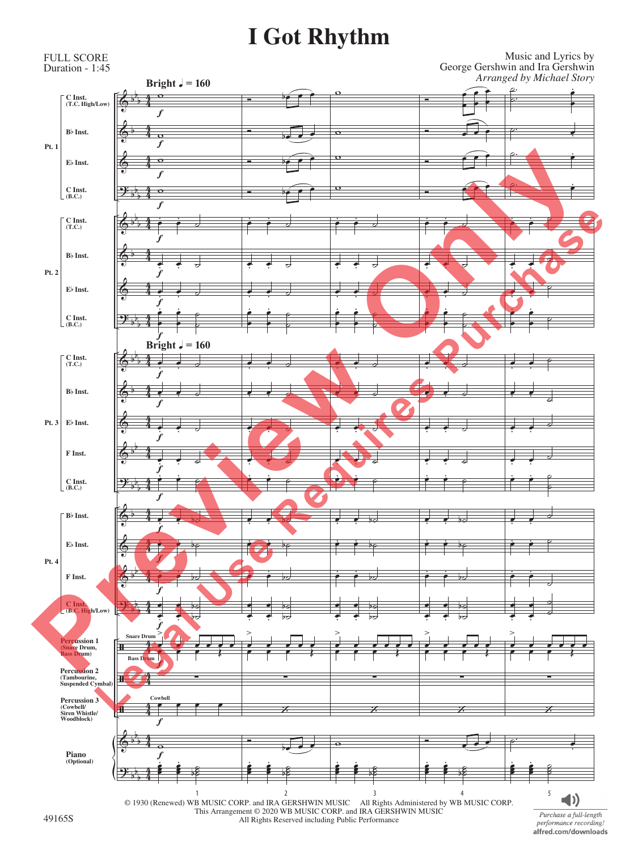# **I Got Rhythm**



Purchase a full-length<br>performance recording!<br>**alfred.com/downloads**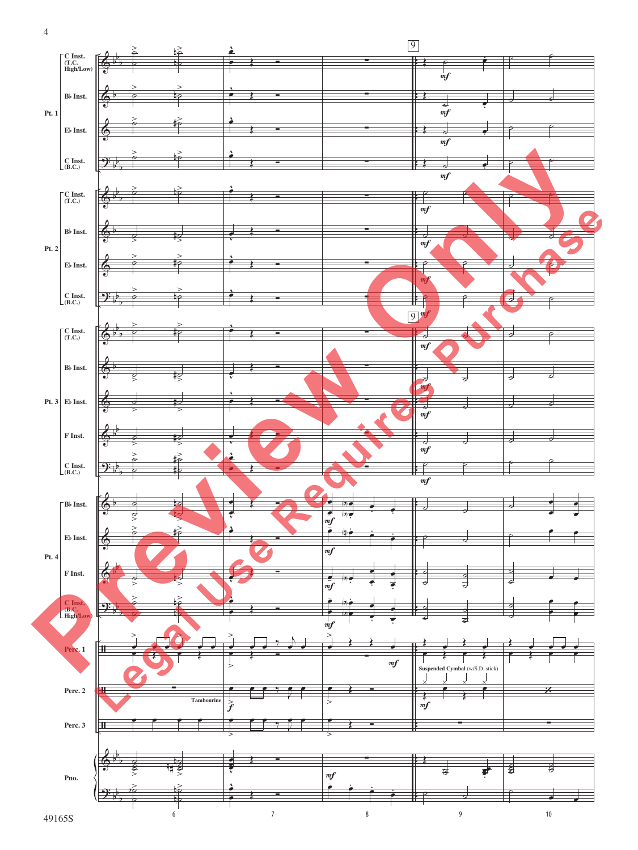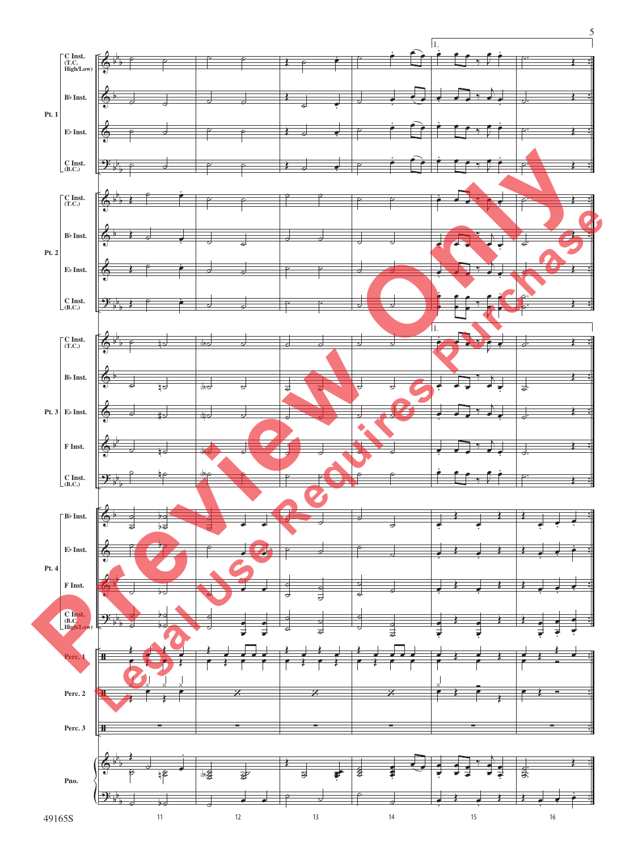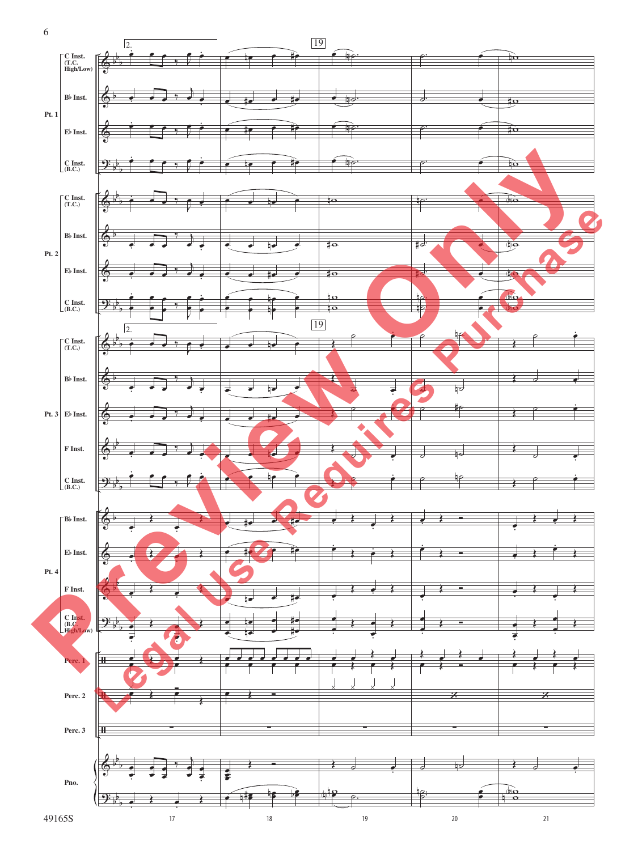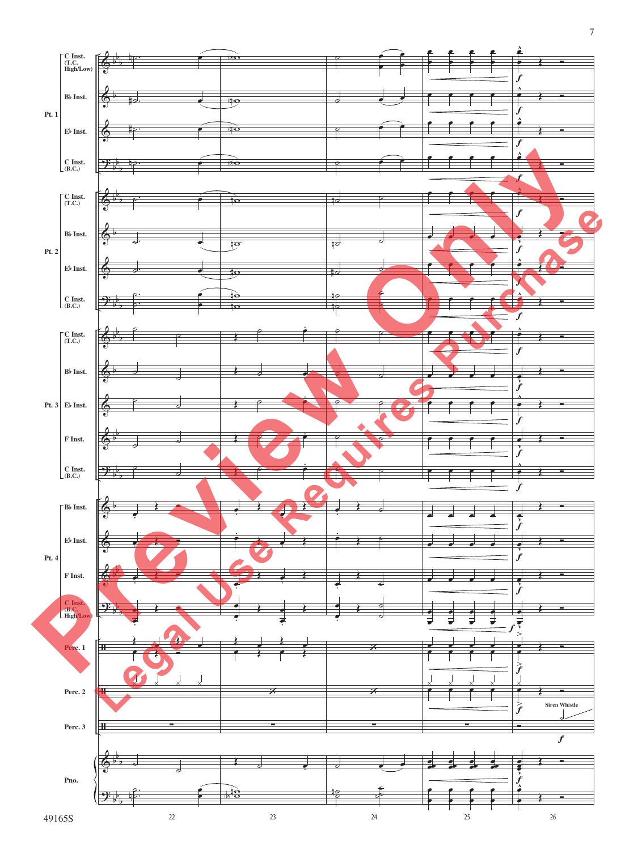

 $\boldsymbol{7}$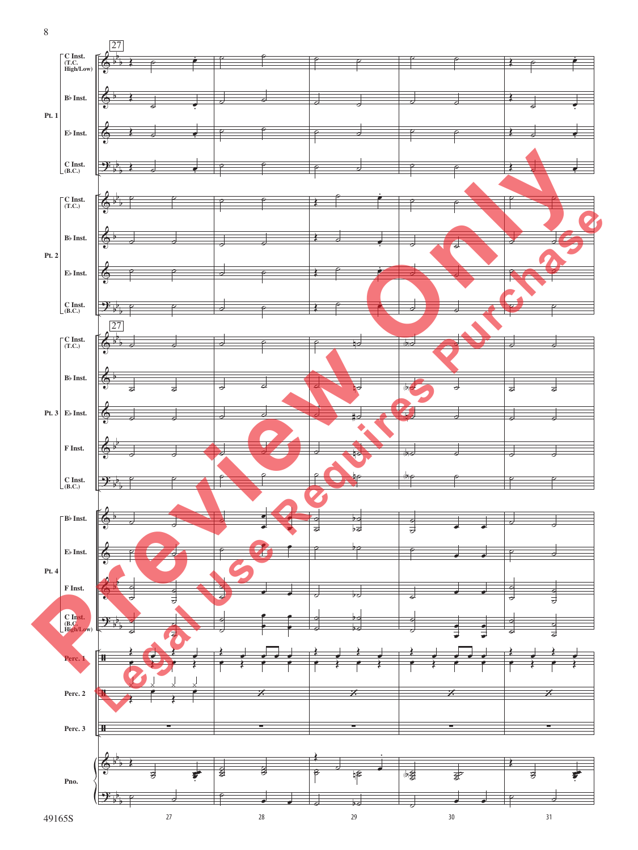

8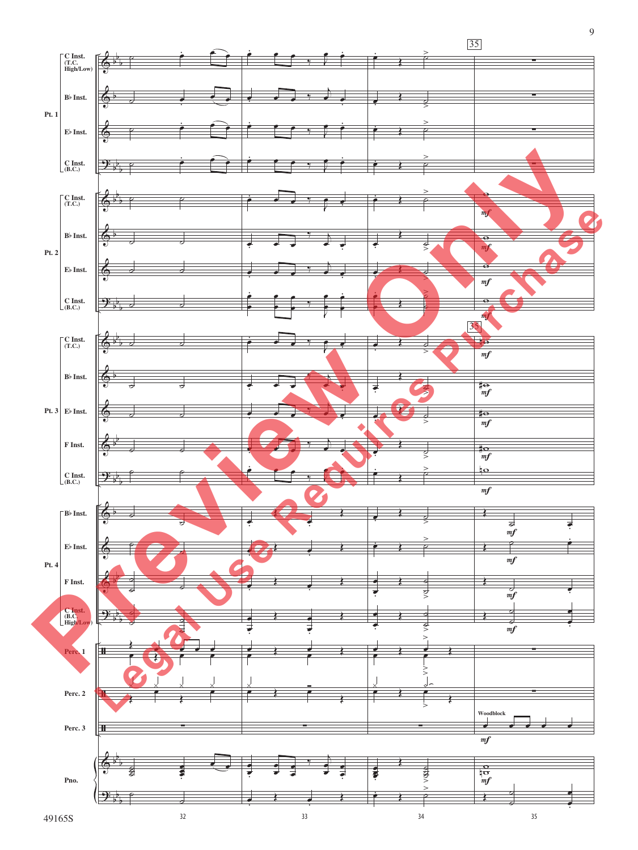35 œ. œ. œ œ. œ. œ  $\frac{1}{2}$ >>>>>>>>>>>>>>>>>>>>>>> œ b e<br>E ˙ **C Inst. (T.C. High/Low)**  $\mathcal{Z}$ b Œ ∑∑∑∑ b &&&?&&&?&&&&?&&&?ããã&?  $\rightarrow$ bble<br>b<br>b<br>b œ ‰ Œ  $B<sup>b</sup>$  Inst. œ. œ œ. œ œ œ. **E**b Inst.<br>**C** Inst.<br>(B.C.)<br>**C** Inst.<br>(B.C.)<br>**B**b Inst.<br>**E**b Inst.<br>**C** Inst.<br>(B.C.)<br><br>**C** Inst.<br>(F.C.)<br><br>**F** Inst.<br><br>**F** Inst.  $\overline{a}$ œ. ˙ **Pt. 1** œ. œ. œ. œ œ Jœ œ. œ œ ˙ ˙  $\to$  Inst. ‰ Œ Eb Inst.<br>C Inst.<br>C Inst.<br>(T.C.)<br>Bb Inst.<br>Eb Inst.<br>C Inst.<br>(B.C.)<br>Bb Inst.<br>F Inst.<br>F Inst.<br>F Inst.<br>Eb Inst.<br>F Inst.<br>F Inst.<br>F Inst.<br>F Inst.<br>P Inst.<br>P Inst.<br>P Inst.<br>P Inst.<br>P Inst.<br>P Inst.<br>P Inst.<br>P Inst.<br>P Inst.<br>P Inst.<br>P  $\overline{\bullet}$ **Preview Only 1999** œ. œ. œ. œ œ Jœ œ. œ œ b e<br>P ˙ ‰ Œ **C Inst. (B.C.)** b o my low my low my low b œ. œ. ˙ ˙ b œ ‰ J<br>J Œ ˙ **C Inst. (T.C.)** b œ œ. Legal Use Requires Purchase my comp of my comp of my comp of the my comp of the my comp of the my comp of the my computation of the my computation of the my computation of the my computation of the my computation of the my computation of the my compu b<br>b<br>b<br>b<br>b ‰ Œ  $\Rightarrow$ **B** b **Inst.**  $\overline{a}$ ˙ œ. œ œ.  $\overline{\phantom{a}}$ œ œ. **Woodblock**<br>
Woodblock<br>
Woodblock **Pt. 2**  $\Rightarrow$ ‰ Œ **E**b **Inst.**  $\overline{a}$ ˙ œ. œ œ. ˙ œ œ. œœ.  $\frac{1}{2}$ œœ. œœ Jœœ ˙˙ œœ b b ‰ Œ **C Inst. (B.C.)**  $\overline{a}$ ˙ 35 b œ. We **C Inst. (T.C.)** b œ ‰ J<br>J Œ b  $\overline{a}$ ˙ œ œ. œ.  $\equiv$ b<br>b<br>b<br>b<br>b<br>b ‰ Œ jœ **B**b **Inst.**  $\overline{f\oplus f\overline{f}}$ œ. œ  $\overline{a}$  $\overline{a}$ œ œ. œ. ˙ jœ ‰  $\pm$ Œ  $\left| \text{Pt. 3} \right|$  **E**b Inst. œ. œ  $\frac{40}{\pi}$  $\overline{a}$ ˙ œ œ.  $\overline{\phantom{a}}$ b  $\big)$ ‰ Œ œ. œ  $\frac{\text{d} \cdot \text{d} \cdot \text{d} \cdot \text{d} \cdot \text{d} \cdot \text{d} \cdot \text{d} \cdot \text{d} \cdot \text{d} \cdot \text{d} \cdot \text{d} \cdot \text{d} \cdot \text{d} \cdot \text{d} \cdot \text{d} \cdot \text{d} \cdot \text{d} \cdot \text{d} \cdot \text{d} \cdot \text{d} \cdot \text{d} \cdot \text{d} \cdot \text{d} \cdot \text{d} \cdot \text{d} \cdot \text{d} \cdot \text{d} \cdot \text{d} \cdot \text{d} \cdot \text{d} \cdot \text{d} \cdot \$  $\overline{a}$  $\overline{\phantom{a}}$ œ œ. œ. ˙ œ. œ. œ. œ  $\frac{1}{2}$ uo<br>‴y ˙ ˙ ˙ b Œ **C Inst. (B.C.)** b b bble the little state of the state of the state of the state of the state of the state of the state of the state of the state of the state of the state of the state of the state of the state of the state of the state of th Œ Œ Œ **B**b **Inst.**  $\overline{\phantom{0}}$ œ. ˙  $\frac{1}{\frac{2}{\sigma}}$ œ. œ. ˙ œ. mf<br>mf<br>mf<br>anf œ. œ. ˙ ˙ **E**b **Inst.** Œ Œ  $\int$ Œ œ. œ. Œ ˙ **Pt. 4** b  $\overline{\bullet}$ Œ Œ œœ. Œ ˙˙  $\frac{1}{\sqrt{m}}$ **F Inst.** ₹ œ. œ. ˙ œ.  $\overline{a}$ œœ. **C Inst. (B.C. High/Low)** ˙˙  $\frac{1}{2}$ œœ. ˙˙ Œ Œ Œ Œ œœ. œœ. ˙˙  $\overline{a}$ œ œ œ œ œ œ **Perc. 1** Œ Œ Œ Œ ∑∑ œ œ e<br>P œ œ e<br>P e<br>P Œ ¿ ¿ ¿ ¿ ¿ ¿  $\frac{1}{2}$ Ó œ œ œ œ œ œ Œ Œ **Perc. 2** Œ Œ Œ Œ œ œ œ œ œ ∑ ∑  $\blacksquare$ **Perc. 3** ∑  $m f$ mf<br>O<br>T<br>mf b jœœ b ‰ Œ b  $\overline{\bullet}$ œœ. œœ œœœ. œ œœ œœ.  $\frac{1}{10}$ ˙˙˙ œœœ. ।<br>∨¤¤ Pno. œ.  $\frac{1}{2}$ œœ. ˙

33

œ.

Œ

34

˙

35

 $\overline{\mathbf{A}}$ 

Œ

œ.

Œ

9

 $\frac{1}{2}$ 

32

˙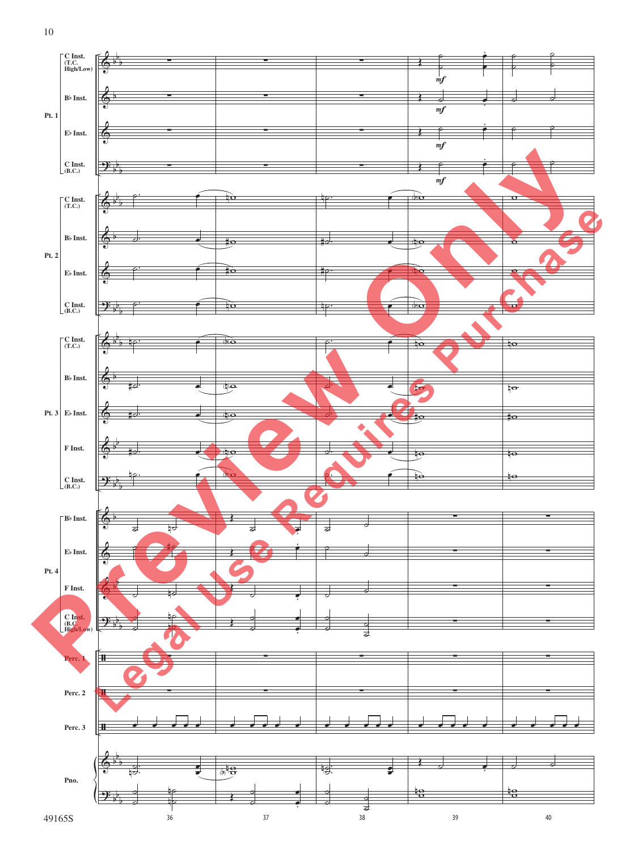

10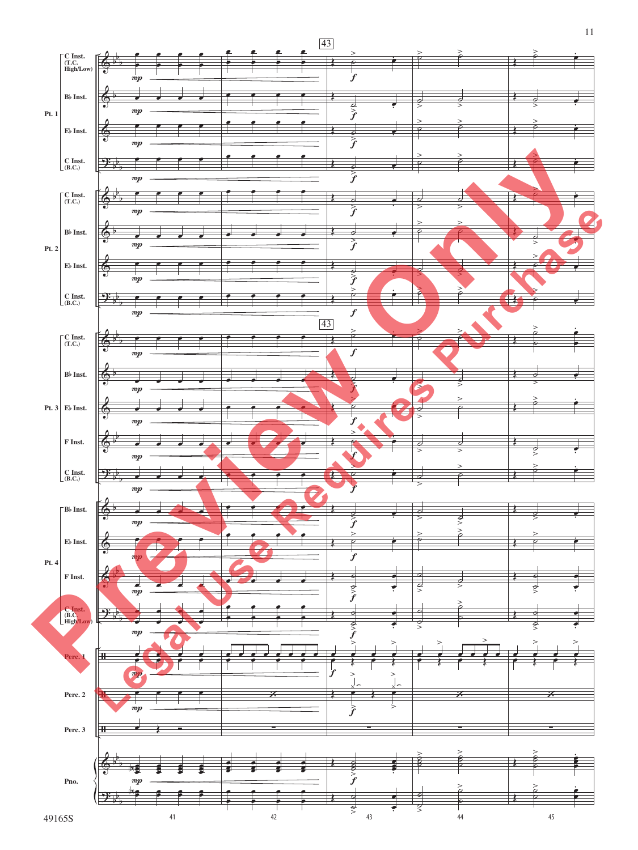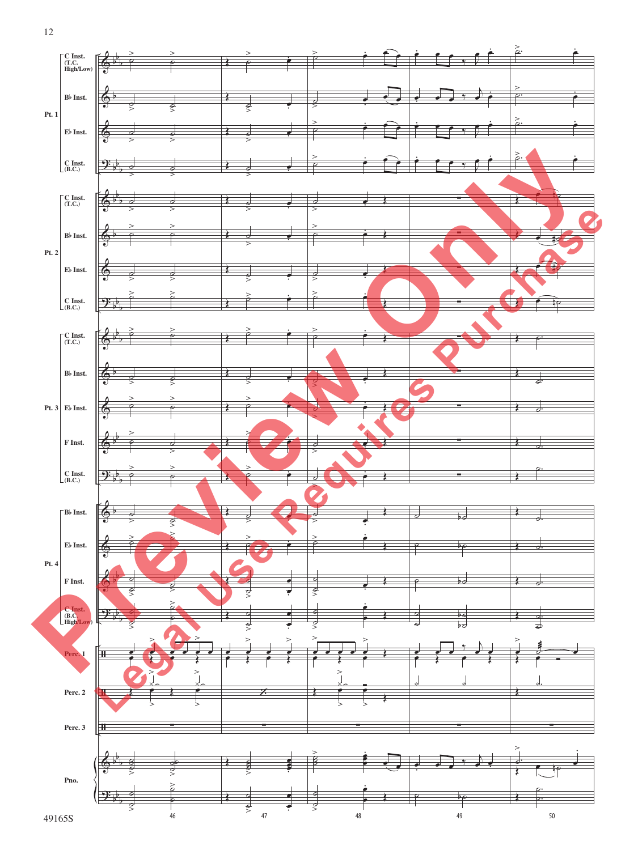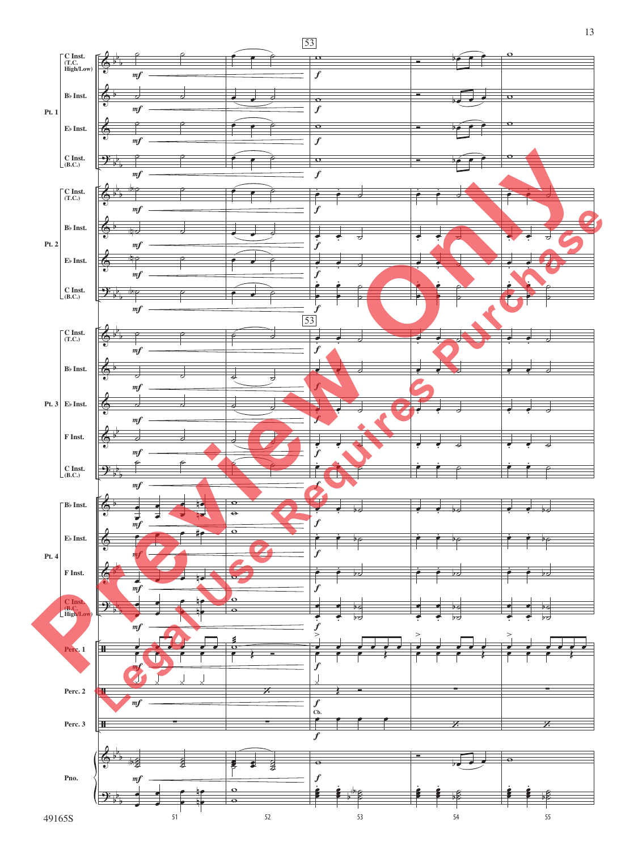